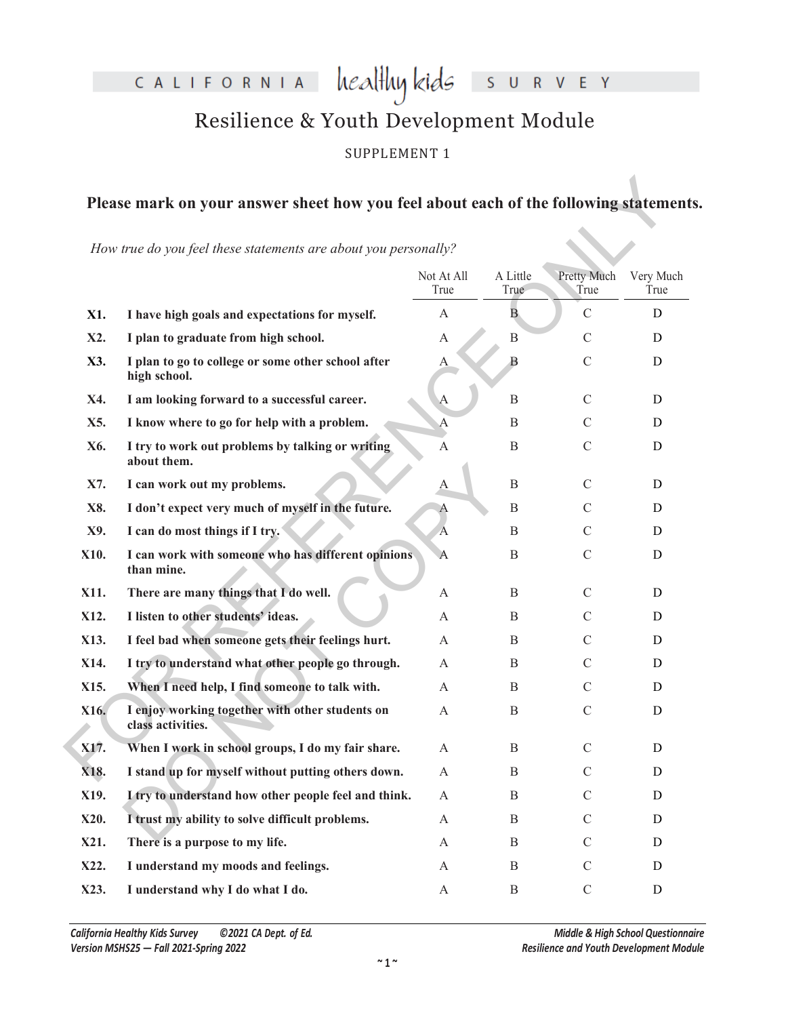CALIFORNIA healthykids SURVEY

# Resilience & Youth Development Module

#### SUPPLEMENT 1

#### **Please mark on your answer sheet how you feel about each of the following statements.**

|      | How true do you feel these statements are about you personally?      |                    |                  |                     |                   |
|------|----------------------------------------------------------------------|--------------------|------------------|---------------------|-------------------|
|      |                                                                      | Not At All<br>True | A Little<br>True | Pretty Much<br>True | Very Much<br>True |
| X1.  | I have high goals and expectations for myself.                       | $\mathbf{A}$       | $\overline{B}$   | $\mathcal{C}$       | D                 |
| X2.  | I plan to graduate from high school.                                 | A                  | B                | $\mathcal{C}$       | D                 |
| X3.  | I plan to go to college or some other school after<br>high school.   | А                  | B                | $\mathcal{C}$       | D                 |
| X4.  | I am looking forward to a successful career.                         | A                  | B                | $\mathcal{C}$       | D                 |
| X5.  | I know where to go for help with a problem.                          | А                  | B                | $\mathcal{C}$       | D                 |
| X6.  | I try to work out problems by talking or writing<br>about them.      | A                  | B                | $\mathcal{C}$       | D                 |
| X7.  | I can work out my problems.                                          | $\mathbf{A}$       | B                | $\mathcal{C}$       | D                 |
| X8.  | I don't expect very much of myself in the future.                    | A                  | B                | $\mathcal{C}$       | D                 |
| X9.  | I can do most things if I try.                                       | $\overline{A}$     | B                | $\mathcal{C}$       | D                 |
| X10. | I can work with someone who has different opinions<br>than mine.     | A                  | B                | $\mathcal{C}$       | D                 |
| X11. | There are many things that I do well.                                | $\mathbf{A}$       | B                | $\mathcal{C}$       | D                 |
| X12. | I listen to other students' ideas.                                   | $\mathbf{A}$       | B                | $\mathcal{C}$       | D                 |
| X13. | I feel bad when someone gets their feelings hurt.                    | A                  | B                | $\mathcal{C}$       | D                 |
| X14. | I try to understand what other people go through.                    | A                  | B                | $\mathcal{C}$       | D                 |
| X15. | When I need help, I find someone to talk with.                       | A                  | B                | $\mathcal{C}$       | D                 |
| X16. | I enjoy working together with other students on<br>class activities. | A                  | B                | $\mathcal{C}$       | D                 |
| X17. | When I work in school groups, I do my fair share.                    |                    | B                | C                   | D                 |
| X18. | I stand up for myself without putting others down.                   | A                  | $\mathbf B$      | $\mathcal{C}$       | D                 |
| X19. | I try to understand how other people feel and think.                 | A                  | B                | $\mathcal{C}$       | D                 |
| X20. | I trust my ability to solve difficult problems.                      | A                  | B                | $\mathcal{C}$       | D                 |
| X21. | There is a purpose to my life.                                       | A                  | B                | $\mathcal{C}$       | D                 |
| X22. | I understand my moods and feelings.                                  | A                  | B                | $\mathsf{C}$        | D                 |
| X23. | I understand why I do what I do.                                     | A                  | $\boldsymbol{B}$ | $\mathbf C$         | D                 |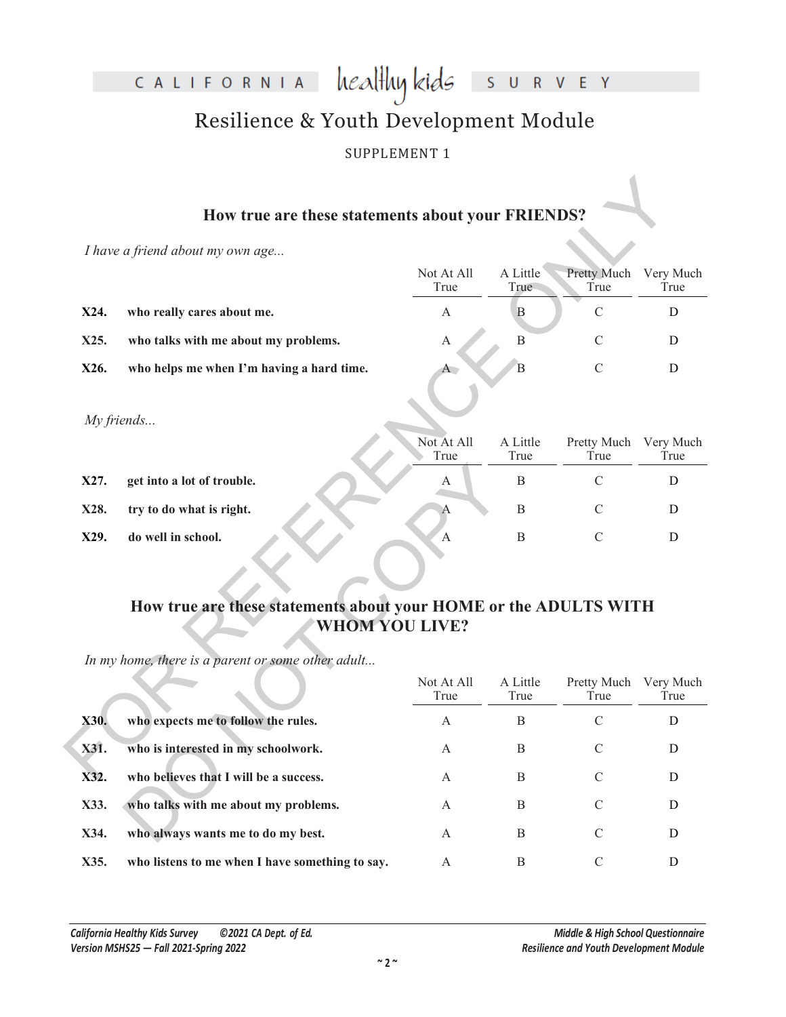CALIFORNIA healthykids SURVEY Resilience & Youth Development Module

SUPPLEMENT 1

## **How true are these statements about your FRIENDS?**

|      | How true are these statements about your FRIENDS?                                         |                    |                  |                     |                   |
|------|-------------------------------------------------------------------------------------------|--------------------|------------------|---------------------|-------------------|
|      | I have a friend about my own age                                                          |                    |                  |                     |                   |
|      |                                                                                           | Not At All<br>True | A Little<br>True | Pretty Much<br>True | Very Much<br>True |
| X24. | who really cares about me.                                                                | A                  | B                | $\mathcal{C}$       | D                 |
| X25. | who talks with me about my problems.                                                      | A                  | B                | $\mathcal{C}$       | D                 |
| X26. | who helps me when I'm having a hard time.                                                 | A                  | B                | $\mathcal{C}$       | D                 |
|      |                                                                                           |                    |                  |                     |                   |
|      | My friends                                                                                |                    |                  |                     |                   |
|      |                                                                                           | Not At All<br>True | A Little<br>True | Pretty Much<br>True | Very Much<br>True |
| X27. | get into a lot of trouble.                                                                | A                  | B                | $\mathcal{C}$       | D                 |
| X28. | try to do what is right.                                                                  | $\mathbf{A}$       | B                | C                   | D                 |
| X29. | do well in school.                                                                        | $\mathbf{A}$       | B                | $\mathcal{C}$       | D                 |
|      |                                                                                           |                    |                  |                     |                   |
|      |                                                                                           |                    |                  |                     |                   |
|      | How true are these statements about your HOME or the ADULTS WITH<br><b>WHOM YOU LIVE?</b> |                    |                  |                     |                   |
|      | In my home, there is a parent or some other adult                                         |                    |                  |                     |                   |
|      |                                                                                           | Not At All<br>True | A Little<br>True | Pretty Much<br>True | Very Much<br>True |
| X30. | who expects me to follow the rules.                                                       | A                  | B                | $\mathcal{C}$       | D                 |
| X31. | who is interested in my schoolwork.                                                       | A                  | B                | $\mathcal{C}$       | D                 |
| X32. | who believes that I will be a success.                                                    | А                  | B                | $\mathcal{C}$       | D                 |

|      |                            | Not At All<br>True | A Little<br>True | Pretty Much<br>True | Very Much<br>True |
|------|----------------------------|--------------------|------------------|---------------------|-------------------|
| X27. | get into a lot of trouble. | А                  | В                |                     |                   |
| X28. | try to do what is right.   |                    | В                |                     |                   |
| X29. | do well in school.         |                    | В                |                     |                   |

## **How true are these statements about your HOME or the ADULTS WITH WHOM YOU LIVE?**

| X27.                                                                                      | get into a lot of trouble.                        | A                  | B                | $\mathcal{C}$       | D                 |  |  |
|-------------------------------------------------------------------------------------------|---------------------------------------------------|--------------------|------------------|---------------------|-------------------|--|--|
| X28.                                                                                      | try to do what is right.                          | А                  | B                | $\mathcal{C}$       | D                 |  |  |
| X29.                                                                                      | do well in school.                                | A                  | B                | C                   | D                 |  |  |
| How true are these statements about your HOME or the ADULTS WITH<br><b>WHOM YOU LIVE?</b> |                                                   |                    |                  |                     |                   |  |  |
|                                                                                           |                                                   |                    |                  |                     |                   |  |  |
|                                                                                           | In my home, there is a parent or some other adult |                    |                  |                     |                   |  |  |
|                                                                                           |                                                   | Not At All<br>True | A Little<br>True | Pretty Much<br>True | Very Much<br>True |  |  |
| X30.                                                                                      | who expects me to follow the rules.               | $\overline{A}$     | B                | $\mathcal{C}$       | D                 |  |  |
| X31.                                                                                      | who is interested in my schoolwork.               | A                  | B                | $\mathcal{C}$       | D                 |  |  |
| X32.                                                                                      | who believes that I will be a success.            | A                  | B                | $\mathcal{C}$       | D                 |  |  |
| X33.                                                                                      | who talks with me about my problems.              | A                  | B                | $\mathcal{C}$       | D                 |  |  |
| X34.                                                                                      | who always wants me to do my best.                | A                  | B                | $\mathcal{C}$       | D                 |  |  |